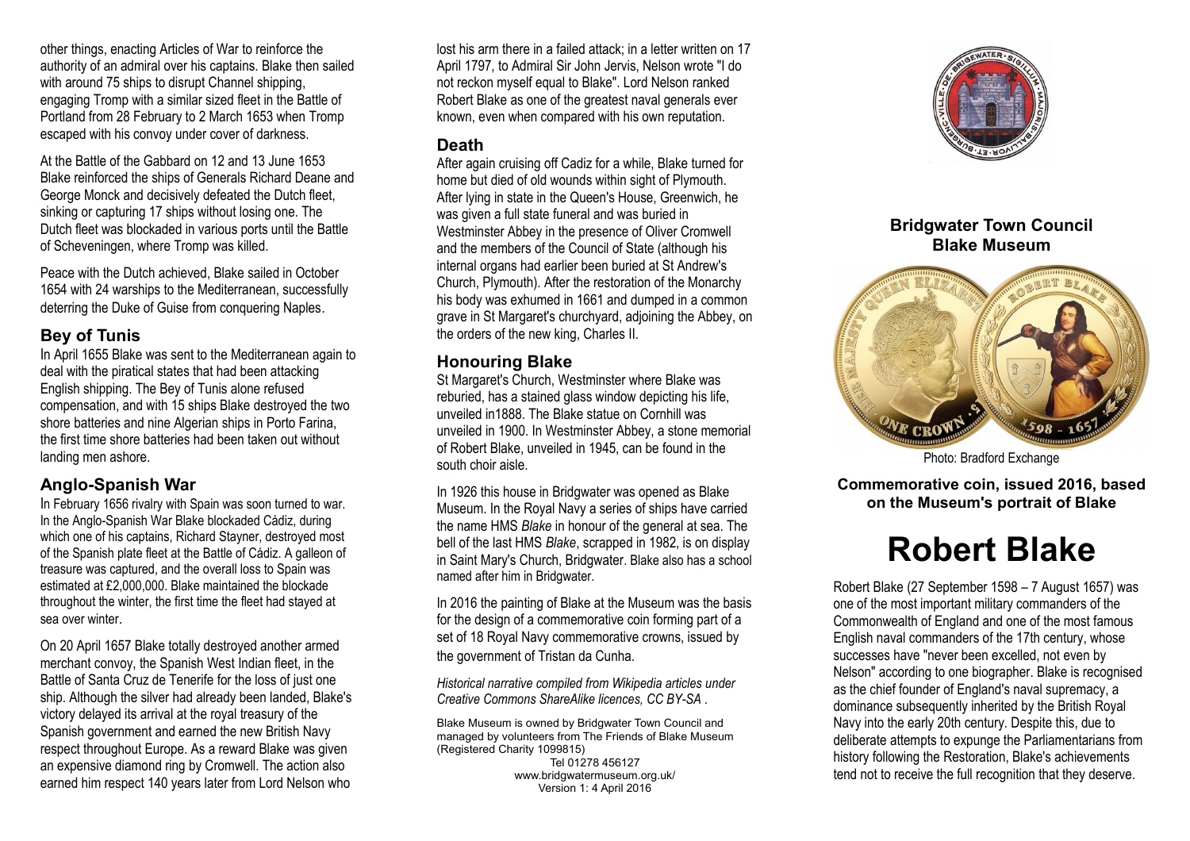other things, enacting Articles of War to reinforce the authority of an admiral over his captains. Blake then sailed with around 75 ships to disrupt Channel shipping, engaging Tromp with a similar sized fleet in the Battle of Portland from 28 February to 2 March 1653 when Tromp escaped with his convoy under cover of darkness.

At the Battle of the Gabbard on 12 and 13 June 1653 Blake reinforced the ships of Generals Richard Deane and George Monck and decisively defeated the Dutch fleet, sinking or capturing 17 ships without losing one. The Dutch fleet was blockaded in various ports until the Battle of Scheveningen, where Tromp was killed.

Peace with the Dutch achieved, Blake sailed in October 1654 with 24 warships to the Mediterranean, successfully deterring the Duke of Guise from conquering Naples.

## **Bey of Tunis**

In April 1655 Blake was sent to the Mediterranean again to deal with the piratical states that had been attacking English shipping. The Bey of Tunis alone refused compensation, and with 15 ships Blake destroyed the two shore batteries and nine Algerian ships in Porto Farina, the first time shore batteries had been taken out without landing men ashore.

#### **Anglo-Spanish War**

In February 1656 rivalry with Spain was soon turned to war. In the Anglo-Spanish War Blake blockaded Cádiz, during which one of his captains, Richard Stayner, destroyed most of the Spanish plate fleet at the Battle of Cádiz. A galleon of treasure was captured, and the overall loss to Spain was estimated at £2,000,000. Blake maintained the blockade throughout the winter, the first time the fleet had stayed at sea over winter

On 20 April 1657 Blake totally destroyed another armed merchant convoy, the Spanish West Indian fleet, in the Battle of Santa Cruz de Tenerife for the loss of just one ship. Although the silver had already been landed, Blake's victory delayed its arrival at the royal treasury of the Spanish government and earned the new British Navy respect throughout Europe. As a reward Blake was given an expensive diamond ring by Cromwell. The action also earned him respect 140 years later from Lord Nelson who

lost his arm there in a failed attack; in a letter written on 17 April 1797, to Admiral Sir John Jervis, Nelson wrote "I do not reckon myself equal to Blake". Lord Nelson ranked Robert Blake as one of the greatest naval generals ever known, even when compared with his own reputation.

#### **Death**

After again cruising off Cadiz for a while, Blake turned for home but died of old wounds within sight of Plymouth. After lying in state in the Queen's House, Greenwich, he was given a full state funeral and was buried in Westminster Abbey in the presence of Oliver Cromwell and the members of the Council of State (although his internal organs had earlier been buried at St Andrew's Church, Plymouth). After the restoration of the Monarchy his body was exhumed in 1661 and dumped in a common grave in St Margaret's churchyard, adjoining the Abbey, on the orders of the new king, Charles II.

## **Honouring Blake**

St Margaret's Church, Westminster where Blake was reburied, has a stained glass window depicting his life, unveiled in1888. The Blake statue on Cornhill was unveiled in 1900. In Westminster Abbey, a stone memorial of Robert Blake, unveiled in 1945, can be found in the south choir aisle.

In 1926 this house in Bridgwater was opened as Blake Museum. In the Royal Navy a series of ships have carried the name HMS *Blake* in honour of the general at sea. The bell of the last HMS *Blake*, scrapped in 1982, is on display in Saint Mary's Church, Bridgwater. Blake also has a school named after him in Bridgwater.

In 2016 the painting of Blake at the Museum was the basis for the design of a commemorative coin forming part of a set of 18 Royal Navy commemorative crowns, issued by the government of Tristan da Cunha.

*Historical narrative compiled from Wikipedia articles under Creative Commons ShareAlike licences, CC BY-SA .*

Blake Museum is owned by Bridgwater Town Council and managed by volunteers from The Friends of Blake Museum (Registered Charity 1099815)

Tel 01278 456127 www.bridgwatermuseum.org.uk/ Version 1: 4 April 2016



## **Bridgwater Town Council Blake Museum**



Photo: Bradford Exchange

**Commemorative coin, issued 2016, based on the Museum's portrait of Blake**

# **Robert Blake**

Robert Blake (27 September 1598 – 7 August 1657) was one of the most important military commanders of the Commonwealth of England and one of the most famous English naval commanders of the 17th century, whose successes have "never been excelled, not even by Nelson" according to one biographer. Blake is recognised as the chief founder of England's naval supremacy, a dominance subsequently inherited by the British Royal Navy into the early 20th century. Despite this, due to deliberate attempts to expunge the Parliamentarians from history following the Restoration, Blake's achievements tend not to receive the full recognition that they deserve.